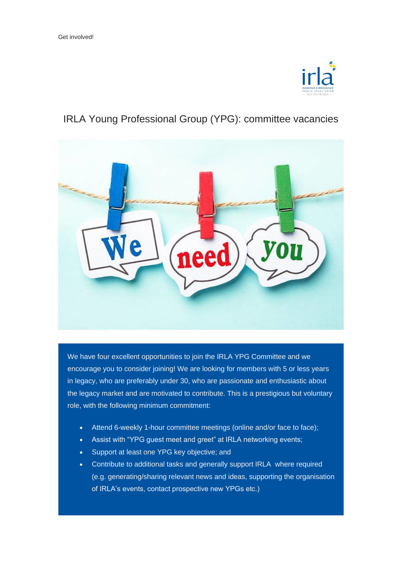

## IRLA Young Professional Group (YPG): committee vacancies



We have four excellent opportunities to join the IRLA YPG Committee and we encourage you to consider joining! We are looking for members with 5 or less years in legacy, who are preferably under 30, who are passionate and enthusiastic about the legacy market and are motivated to contribute. This is a prestigious but voluntary role, with the following minimum commitment:

- Attend 6-weekly 1-hour committee meetings (online and/or face to face);
- Assist with "YPG guest meet and greet" at IRLA networking events;
- Support at least one YPG key objective; and
- Contribute to additional tasks and generally support IRLA where required (e.g. generating/sharing relevant news and ideas, supporting the organisation of IRLA's events, contact prospective new YPGs etc.)